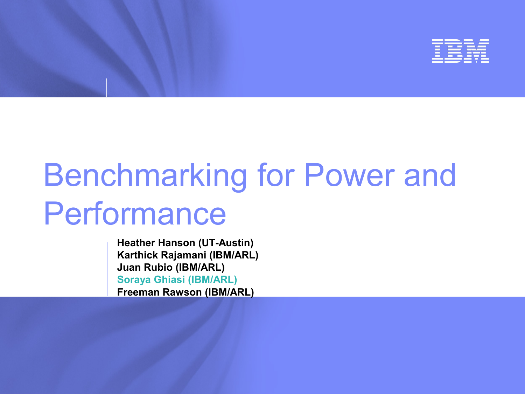

# Benchmarking for Power and Performance

**Heather Hanson (UT-Austin) Karthick Rajamani (IBM/ARL) Juan Rubio (IBM/ARL) Soraya Ghiasi (IBM/ARL) Freeman Rawson (IBM/ARL)**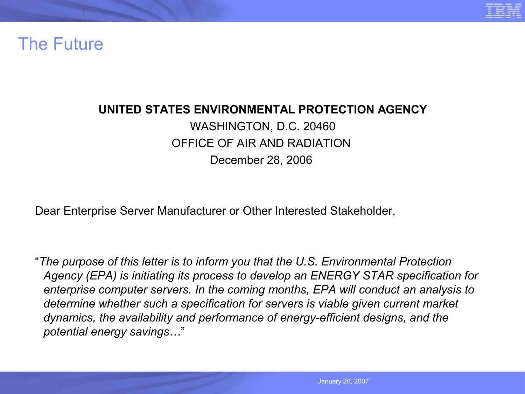

### The Future

### **UNITED STATES ENVIRONMENTAL PROTECTION AGENCY** WASHINGTON, D.C. 20460 OFFICE OF AIR AND RADIATION December 28, 2006

Dear Enterprise Server Manufacturer or Other Interested Stakeholder,

"*The purpose of this letter is to inform you that the U.S. Environmental Protection Agency (EPA) is initiating its process to develop an ENERGY STAR specification for enterprise computer servers. In the coming months, EPA will conduct an analysis to determine whether such a specification for servers is viable given current market dynamics, the availability and performance of energy-efficient designs, and the potential energy savings*…"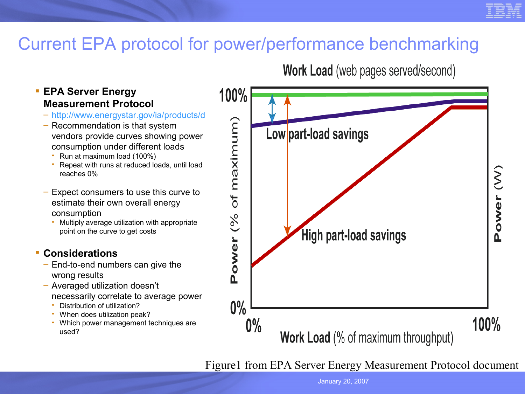

# Current EPA protocol for power/performance benchmarking

### **EPA Server Energy Measurement Protocol**

- 
- http://www.energystar.gov/ia/products/d<br>
 Recommendation is that system<br>
vendors provide curves showing power<br>
consumption under different loads<br>
 Run at maximum load (100%)<br>
 Repeat with runs at reduced loads, until – Recommendation is that system vendors provide curves showing power consumption under different loads
	- Run at maximum load (100%)
	- Repeat with runs at reduced loads, until load reaches 0%
- Expect consumers to use this curve to estimate their own overall energy consumption
	- Multiply average utilization with appropriate point on the curve to get costs

### **Considerations**

- End-to-end numbers can give the wrong results
- Averaged utilization doesn't necessarily correlate to average power
	- Distribution of utilization?
	- When does utilization peak?
	- Which power management techniques are used?

**Work Load** (web pages served/second)



Figure1 from EPA Server Energy Measurement Protocol document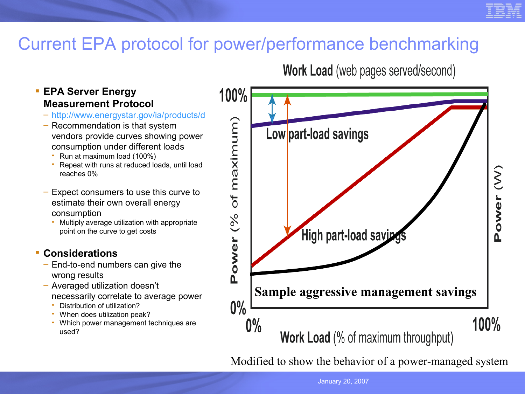# Current EPA protocol for power/performance benchmarking

### **EPA Server Energy Measurement Protocol**

- 
- http://www.energystar.gov/ia/products/d<br>
 Recommendation is that system<br>
vendors provide curves showing power<br>
consumption under different loads<br>
 Run at maximum load (100%)<br>
 Repeat with runs at reduced loads, until – Recommendation is that system vendors provide curves showing power consumption under different loads
	- Run at maximum load (100%)
	- Repeat with runs at reduced loads, until load reaches 0%
- Expect consumers to use this curve to estimate their own overall energy consumption
	- Multiply average utilization with appropriate point on the curve to get costs

### **Considerations**

- End-to-end numbers can give the wrong results
- Averaged utilization doesn't necessarily correlate to average power
	- Distribution of utilization?
	- When does utilization peak?
	- Which power management techniques are used?

**Work Load** (web pages served/second)



Modified to show the behavior of a power-managed system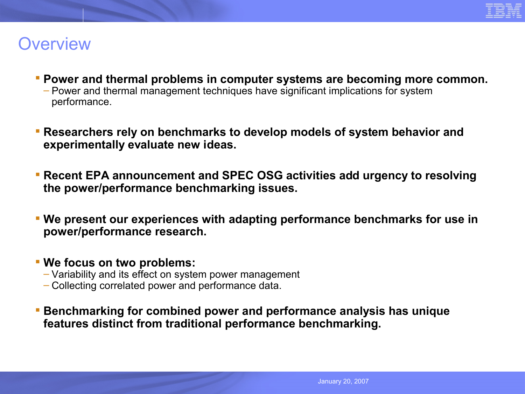

### **Overview**

- **Power and thermal problems in computer systems are becoming more common.**
	- Power and thermal management techniques have significant implications for system performance.
- **Researchers rely on benchmarks to develop models of system behavior and experimentally evaluate new ideas.**
- **Recent EPA announcement and SPEC OSG activities add urgency to resolving the power/performance benchmarking issues.**
- **We present our experiences with adapting performance benchmarks for use in power/performance research.**
- **We focus on two problems:**
	- Variability and its effect on system power management
	- Collecting correlated power and performance data.
- **Benchmarking for combined power and performance analysis has unique features distinct from traditional performance benchmarking.**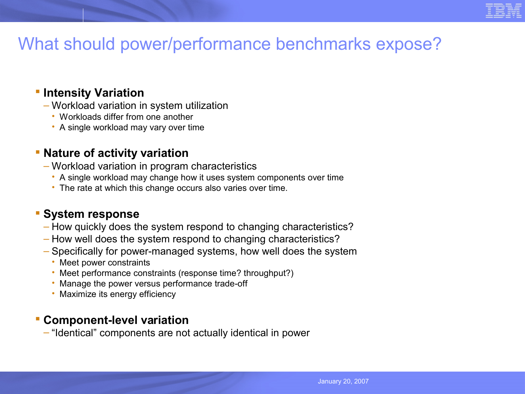# What should power/performance benchmarks expose?

### **Fintensity Variation**

- Workload variation in system utilization
	- Workloads differ from one another
	- A single workload may vary over time

### **Nature of activity variation**

- Workload variation in program characteristics
	- A single workload may change how it uses system components over time
	- The rate at which this change occurs also varies over time.

### **System response**

- How quickly does the system respond to changing characteristics?
- How well does the system respond to changing characteristics?
- Specifically for power-managed systems, how well does the system
	- Meet power constraints
	- Meet performance constraints (response time? throughput?)
	- Manage the power versus performance trade-off
	- Maximize its energy efficiency

### **Component-level variation**

– "Identical" components are not actually identical in power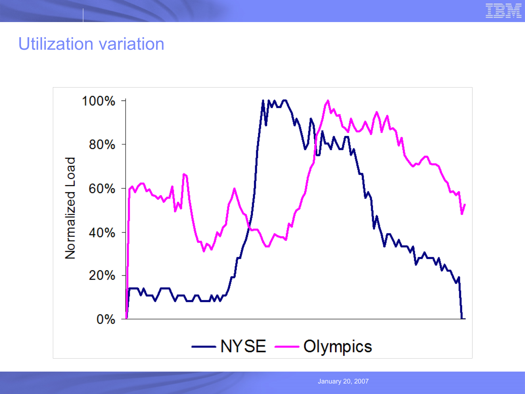

### Utilization variation

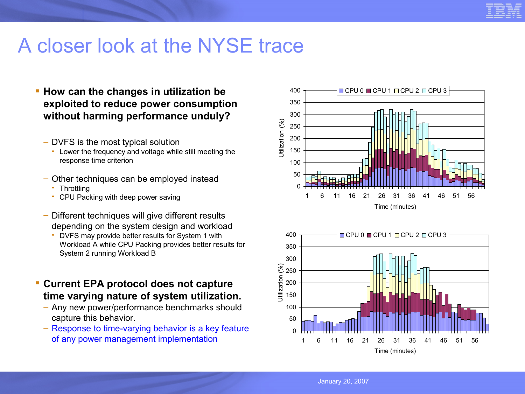

# A closer look at the NYSE trace

- **How can the changes in utilization be exploited to reduce power consumption without harming performance unduly?**
	- DVFS is the most typical solution
		- Lower the frequency and voltage while still meeting the response time criterion
	- Other techniques can be employed instead
		- **Throttling**
		- CPU Packing with deep power saving
	- Different techniques will give different results depending on the system design and workload
		- DVFS may provide better results for System 1 with Workload A while CPU Packing provides better results for System 2 running Workload B
- **Current EPA protocol does not capture time varying nature of system utilization.**
	- Any new power/performance benchmarks should capture this behavior.
	- Response to time-varying behavior is a key feature of any power management implementation



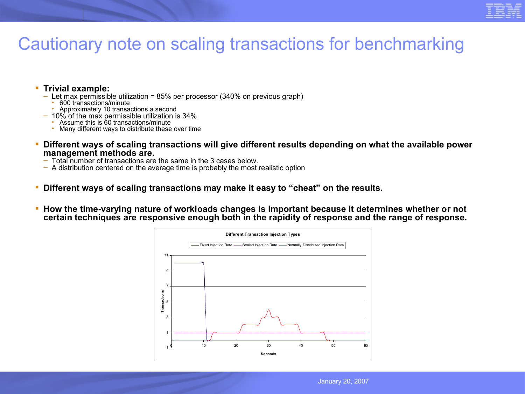

# Cautionary note on scaling transactions for benchmarking

#### **Trivial example:**

- $-$  Let max permissible utilization = 85% per processor (340% on previous graph)
	- 600 transactions/minute
	- Approximately 10 transactions a second
- 10% of the max permissible utilization is 34%
	- Assume this is 60 transactions/minute
	- Many different ways to distribute these over time
- **Different ways of scaling transactions will give different results depending on what the available power management methods are.**
	- Total number of transactions are the same in the 3 cases below.
	- A distribution centered on the average time is probably the most realistic option
- **Different ways of scaling transactions may make it easy to "cheat" on the results.**
- **How the time-varying nature of workloads changes is important because it determines whether or not certain techniques are responsive enough both in the rapidity of response and the range of response.**

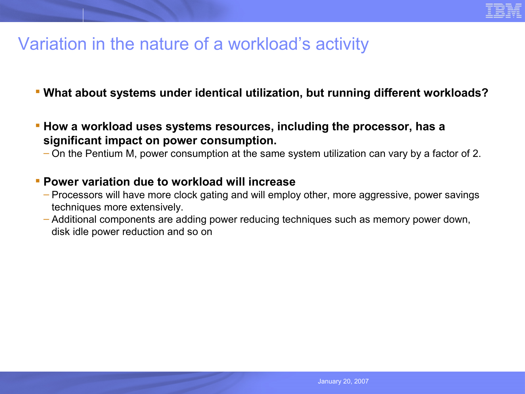

# Variation in the nature of a workload's activity

- **What about systems under identical utilization, but running different workloads?**
- **How a workload uses systems resources, including the processor, has a significant impact on power consumption.**
	- On the Pentium M, power consumption at the same system utilization can vary by a factor of 2.
- **Power variation due to workload will increase**
	- Processors will have more clock gating and will employ other, more aggressive, power savings techniques more extensively.
	- Additional components are adding power reducing techniques such as memory power down, disk idle power reduction and so on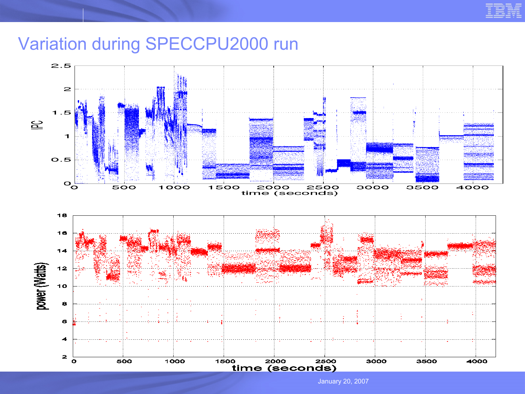

# Variation during SPECCPU2000 run

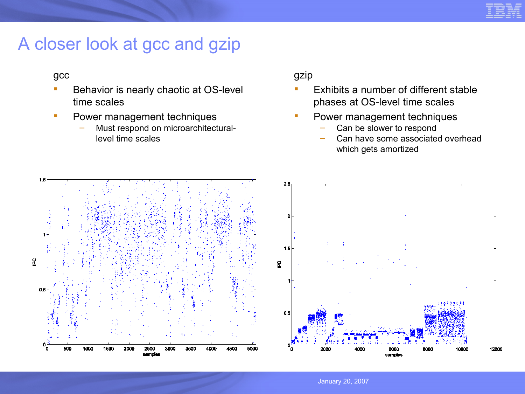

# A closer look at gcc and gzip

#### gcc

- Behavior is nearly chaotic at OS-level time scales
- Power management techniques
	- Must respond on microarchitecturallevel time scales

gzip

- Exhibits a number of different stable phases at OS-level time scales
- Power management techniques
	- Can be slower to respond
	- Can have some associated overhead which gets amortized

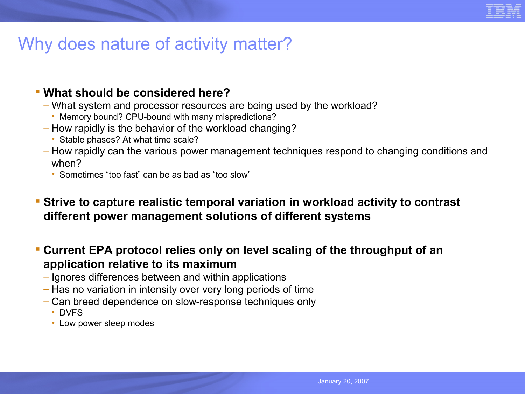

# Why does nature of activity matter?

### **What should be considered here?**

- What system and processor resources are being used by the workload?
	- Memory bound? CPU-bound with many mispredictions?
- How rapidly is the behavior of the workload changing?
	- Stable phases? At what time scale?
- How rapidly can the various power management techniques respond to changing conditions and when?
	- Sometimes "too fast" can be as bad as "too slow"
- **Strive to capture realistic temporal variation in workload activity to contrast different power management solutions of different systems**
- **Current EPA protocol relies only on level scaling of the throughput of an application relative to its maximum**
	- Ignores differences between and within applications
	- Has no variation in intensity over very long periods of time
	- Can breed dependence on slow-response techniques only
		- DVFS
		- Low power sleep modes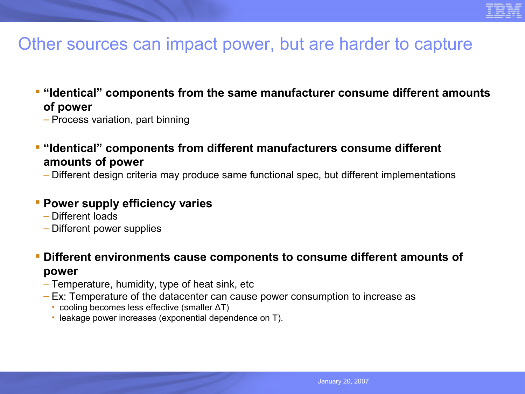

### Other sources can impact power, but are harder to capture

- **E** "Identical" components from the same manufacturer consume different amounts **of power**
	- Process variation, part binning
- **"** "Identical" components from different manufacturers consume different **amounts of power**
	- Different design criteria may produce same functional spec, but different implementations

### **Power supply efficiency varies**

- Different loads
- Different power supplies
- **Different environments cause components to consume different amounts of power**
	- Temperature, humidity, type of heat sink, etc
	- Ex: Temperature of the datacenter can cause power consumption to increase as
		- cooling becomes less effective (smaller ΔT)
		- leakage power increases (exponential dependence on T).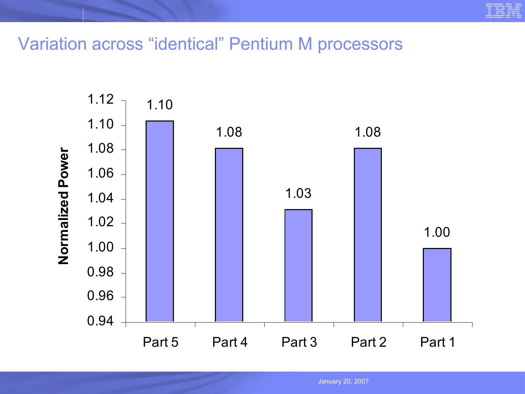Variation across "identical" Pentium M processors

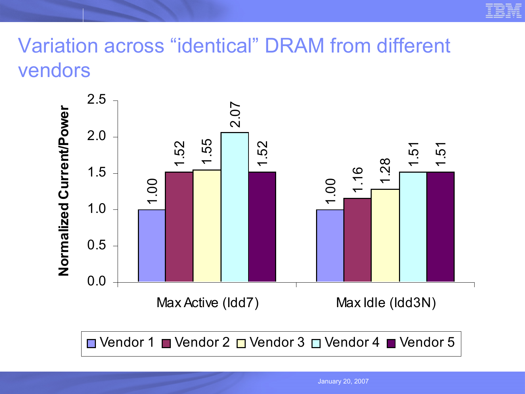

# Variation across "identical" DRAM from different vendors



 $\Box$  Vendor 1  $\Box$  Vendor 2  $\Box$  Vendor 3  $\Box$  Vendor 4  $\Box$  Vendor 5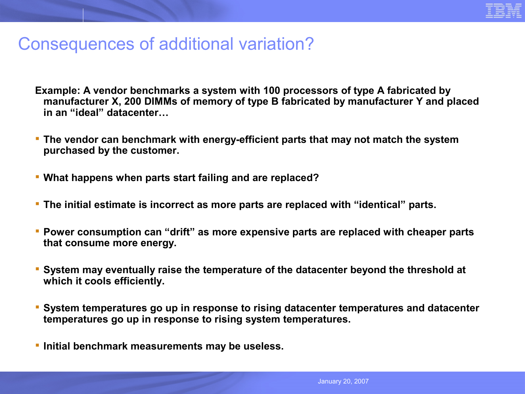

### Consequences of additional variation?

- **Example: A vendor benchmarks a system with 100 processors of type A fabricated by manufacturer X, 200 DIMMs of memory of type B fabricated by manufacturer Y and placed in an "ideal" datacenter…**
- **The vendor can benchmark with energy-efficient parts that may not match the system purchased by the customer.**
- **What happens when parts start failing and are replaced?**
- **The initial estimate is incorrect as more parts are replaced with "identical" parts.**
- **Power consumption can "drift" as more expensive parts are replaced with cheaper parts that consume more energy.**
- **System may eventually raise the temperature of the datacenter beyond the threshold at which it cools efficiently.**
- **System temperatures go up in response to rising datacenter temperatures and datacenter temperatures go up in response to rising system temperatures.**
- **Initial benchmark measurements may be useless.**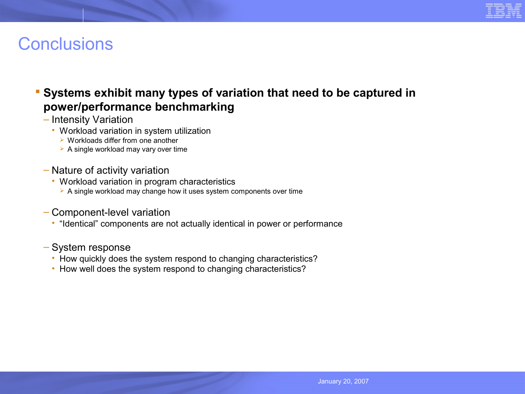

# **Conclusions**

### **Systems exhibit many types of variation that need to be captured in power/performance benchmarking**

- Intensity Variation
	- Workload variation in system utilization
		- $\triangleright$  Workloads differ from one another
		- $\triangleright$  A single workload may vary over time
- Nature of activity variation
	- Workload variation in program characteristics
		- $\triangleright$  A single workload may change how it uses system components over time
- Component-level variation
	- "Identical" components are not actually identical in power or performance
- System response
	- How quickly does the system respond to changing characteristics?
	- How well does the system respond to changing characteristics?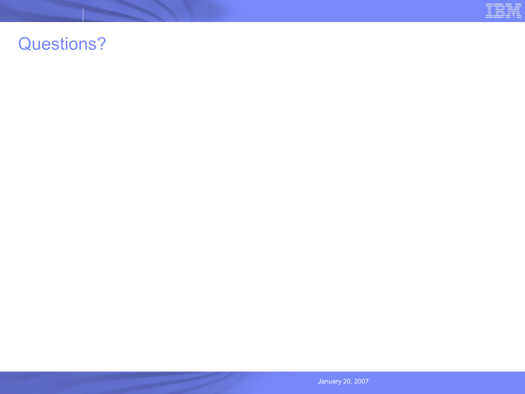

# Questions?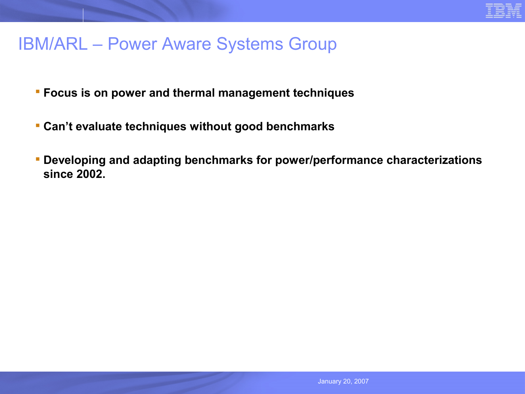

### IBM/ARL – Power Aware Systems Group

- **Focus is on power and thermal management techniques**
- **Can't evaluate techniques without good benchmarks**
- **Developing and adapting benchmarks for power/performance characterizations since 2002.**